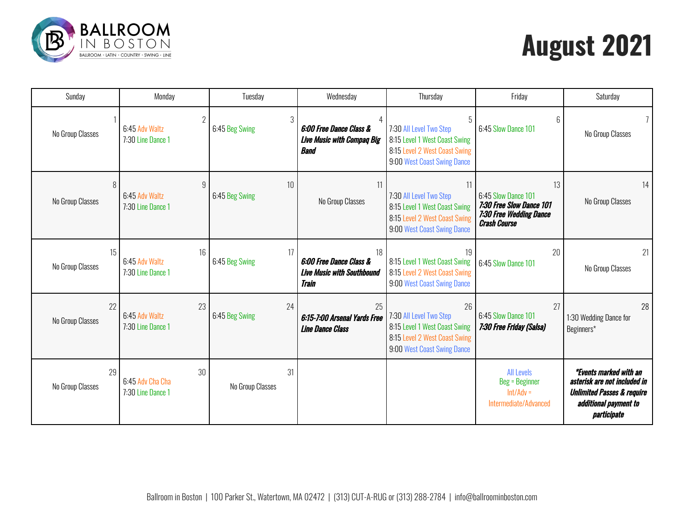

## **August 2021**

| Sunday                 | Monday                                                | Tuesday                | Wednesday                                                                                     | Thursday                                                                                                                       | Friday                                                                                                  | Saturday                                                                                                                                       |
|------------------------|-------------------------------------------------------|------------------------|-----------------------------------------------------------------------------------------------|--------------------------------------------------------------------------------------------------------------------------------|---------------------------------------------------------------------------------------------------------|------------------------------------------------------------------------------------------------------------------------------------------------|
| No Group Classes       | 6:45 Adv Waltz<br>7:30 Line Dance 1                   | 3<br>6:45 Beg Swing    | 6:00 Free Dance Class &<br><b>Live Music with Compaq Big</b><br><b>Band</b>                   | 5<br>7:30 All Level Two Step<br>8:15 Level 1 West Coast Swing<br>8:15 Level 2 West Coast Swing<br>9:00 West Coast Swing Dance  | 6<br>6:45 Slow Dance 101                                                                                | No Group Classes                                                                                                                               |
| 8<br>No Group Classes  | $\mathfrak{g}$<br>6:45 Adv Waltz<br>7:30 Line Dance 1 | 10<br>6:45 Beg Swing   | 11<br>No Group Classes                                                                        | 11<br>7:30 All Level Two Step<br>8:15 Level 1 West Coast Swing<br>8:15 Level 2 West Coast Swing<br>9:00 West Coast Swing Dance | 13<br>6:45 Slow Dance 101<br>7:30 Free Slow Dance 101<br>7:30 Free Wedding Dance<br><b>Crash Course</b> | 14<br>No Group Classes                                                                                                                         |
| 15<br>No Group Classes | 16<br>6:45 Adv Waltz<br>7:30 Line Dance 1             | 17<br>6:45 Beg Swing   | 18<br><b>6:00 Free Dance Class &amp;</b><br><b>Live Music with Southbound</b><br><b>Train</b> | 19<br>8:15 Level 1 West Coast Swing<br>8:15 Level 2 West Coast Swing<br>9:00 West Coast Swing Dance                            | 20<br>6:45 Slow Dance 101                                                                               | 21<br>No Group Classes                                                                                                                         |
| 22<br>No Group Classes | 23<br>6:45 Adv Waltz<br>7:30 Line Dance 1             | 24<br>6:45 Beg Swing   | 25<br>6:15-7:00 Arsenal Yards Free<br><b>Line Dance Class</b>                                 | 26<br>7:30 All Level Two Step<br>8:15 Level 1 West Coast Swing<br>8:15 Level 2 West Coast Swing<br>9:00 West Coast Swing Dance | 27<br>6:45 Slow Dance 101<br>7:30 Free Friday (Salsa)                                                   | 28<br>1:30 Wedding Dance for<br>Beginners*                                                                                                     |
| 29<br>No Group Classes | 30<br>6:45 Adv Cha Cha<br>7:30 Line Dance 1           | 31<br>No Group Classes |                                                                                               |                                                                                                                                | <b>All Levels</b><br><b>Beg = Beginner</b><br>$Int/Adv =$<br>Intermediate/Advanced                      | <i>*Events marked with an</i><br>asterisk are not included in<br><b>Unlimited Passes &amp; require</b><br>additional payment to<br>participate |